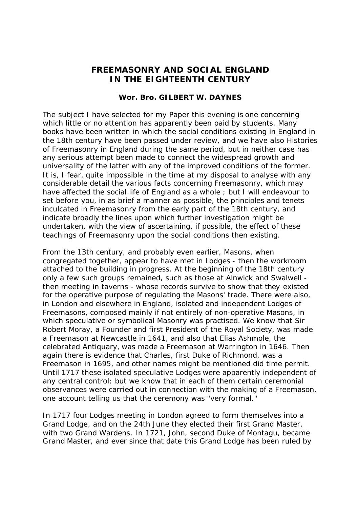## **FREEMASONRY AND SOCIAL ENGLAND IN THE EIGHTEENTH CENTURY**

## **Wor. Bro. GILBERT W. DAYNES**

The subject I have selected for my Paper this evening is one concerning which little or no attention has apparently been paid by students. Many books have been written in which the social conditions existing in England in the 18th century have been passed under review, and we have also Histories of Freemasonry in England during the same period, but in neither case has any serious attempt been made to connect the widespread growth and universality of the latter with any of the improved conditions of the former. It is, I fear, quite impossible in the time at my disposal to analyse with any considerable detail the various facts concerning Freemasonry, which may have affected the social life of England as a whole ; but I will endeavour to set before you, in as brief a manner as possible, the principles and tenets inculcated in Freemasonry from the early part of the 18th century, and indicate broadly the lines upon which further investigation might be undertaken, with the view of ascertaining, if possible, the effect of these teachings of Freemasonry upon the social conditions then existing.

From the 13th century, and probably even earlier, Masons, when congregated together, appear to have met in Lodges - then the workroom attached to the building in progress. At the beginning of the 18th century only a few such groups remained, such as those at Alnwick and Swalwell then meeting in taverns - whose records survive to show that they existed for the operative purpose of regulating the Masons' trade. There were also, in London and elsewhere in England, isolated and independent Lodges of Freemasons, composed mainly if not entirely of non-operative Masons, in which speculative or symbolical Masonry was practised. We know that Sir Robert Moray, a Founder and first President of the Royal Society, was made a Freemason at Newcastle in 1641, and also that Elias Ashmole, the celebrated Antiquary, was made a Freemason at Warrington in 1646. Then again there is evidence that Charles, first Duke of Richmond, was a Freemason in 1695, and other names might be mentioned did time permit. Until 1717 these isolated speculative Lodges were apparently independent of any central control; but we know that in each of them certain ceremonial observances were carried out in connection with the making of a Freemason, one account telling us that the ceremony was "very formal."

In 1717 four Lodges meeting in London agreed to form themselves into a Grand Lodge, and on the 24th June they elected their first Grand Master, with two Grand Wardens. In 1721, John, second Duke of Montagu, became Grand Master, and ever since that date this Grand Lodge has been ruled by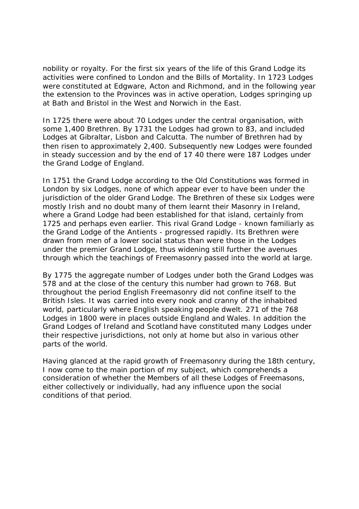nobility or royalty. For the first six years of the life of this Grand Lodge its activities were confined to London and the Bills of Mortality. In 1723 Lodges were constituted at Edgware, Acton and Richmond, and in the following year the extension to the Provinces was in active operation, Lodges springing up at Bath and Bristol in the West and Norwich in the East.

In 1725 there were about 70 Lodges under the central organisation, with some 1,400 Brethren. By 1731 the Lodges had grown to  $83$ , and included Lodges at Gibraltar, Lisbon and Calcutta. The number of Brethren had by then risen to approximately 2,400. Subsequently new Lodges were founded in steady succession and by the end of 17 40 there were 187 Lodges under the Grand Lodge of England.

In 1751 the Grand Lodge according to the Old Constitutions was formed in London by six Lodges, none of which appear ever to have been under the jurisdiction of the older Grand Lodge. The Brethren of these six Lodges were mostly Irish and no doubt many of them learnt their Masonry in Ireland, where a Grand Lodge had been established for that island, certainly from 1725 and perhaps even earlier. This rival Grand Lodge - known familiarly as the Grand Lodge of the Antients - progressed rapidly. Its Brethren were drawn from men of a lower social status than were those in the Lodges under the premier Grand Lodge, thus widening still further the avenues through which the teachings of Freemasonry passed into the world at large.

By 1775 the aggregate number of Lodges under both the Grand Lodges was 578 and at the close of the century this number had grown to 768. But throughout the period English Freemasonry did not confine itself to the British Isles. It was carried into every nook and cranny of the inhabited world, particularly where English speaking people dwelt. 271 of the 768 Lodges in 1800 were in places outside England and Wales. In addition the Grand Lodges of Ireland and Scotland have constituted many Lodges under their respective jurisdictions, not only at home but also in various other parts of the world.

Having glanced at the rapid growth of Freemasonry during the 18th century, I now come to the main portion of my subject, which comprehends a consideration of whether the Members of all these Lodges of Freemasons, either collectively or individually, had any influence upon the social conditions of that period.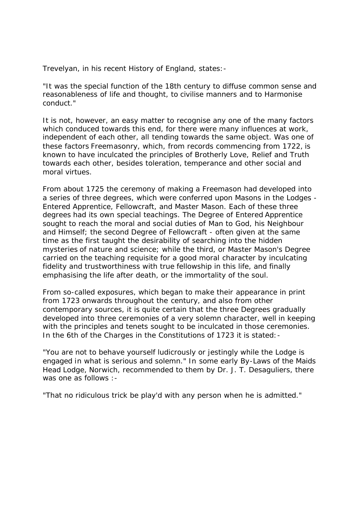Trevelyan, in his recent History of England, states:-

"It was the special function of the 18th century to diffuse common sense and reasonableness of life and thought, to civilise manners and to Harmonise conduct."

It is not, however, an easy matter to recognise any one of the many factors which conduced towards this end, for there were many influences at work, independent of each other, all tending towards the same object. Was one of these factors Freemasonry, which, from records commencing from 1722, is known to have inculcated the principles of Brotherly Love, Relief and Truth towards each other, besides toleration, temperance and other social and moral virtues.

From about 1725 the ceremony of making a Freemason had developed into a series of three degrees, which were conferred upon Masons in the Lodges - Entered Apprentice, Fellowcraft, and Master Mason. Each of these three degrees had its own special teachings. The Degree of Entered Apprentice sought to reach the moral and social duties of Man to God, his Neighbour and Himself; the second Degree of Fellowcraft - often given at the same time as the first taught the desirability of searching into the hidden mysteries of nature and science; while the third, or Master Mason's Degree carried on the teaching requisite for a good moral character by inculcating fidelity and trustworthiness with true fellowship in this life, and finally emphasising the life after death, or the immortality of the soul.

From so-called exposures, which began to make their appearance in print from 1723 onwards throughout the century, and also from other contemporary sources, it is quite certain that the three Degrees gradually developed into three ceremonies of a very solemn character, well in keeping with the principles and tenets sought to be inculcated in those ceremonies. In the 6th of the Charges in the Constitutions of 1723 it is stated: -

"You are not to behave yourself ludicrously or jestingly while the Lodge is engaged in what is serious and solemn." In some early By-Laws of the Maids Head Lodge, Norwich, recommended to them by Dr. J. T. Desaguliers, there was one as follows :-

"That no ridiculous trick be play'd with any person when he is admitted."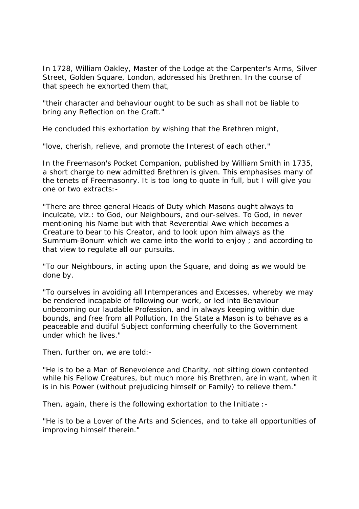In 1728, William Oakley, Master of the Lodge at the Carpenter's Arms, Silver Street, Golden Square, London, addressed his Brethren. In the course of that speech he exhorted them that,

"their character and behaviour ought to be such as shall not be liable to bring any Reflection on the Craft."

He concluded this exhortation by wishing that the Brethren might,

"love, cherish, relieve, and promote the Interest of each other."

In the Freemason's Pocket Companion, published by William Smith in 1735, a short charge to new admitted Brethren is given. This emphasises many of the tenets of Freemasonry. It is too long to quote in full, but I will give you one or two extracts:-

"There are three general Heads of Duty which Masons ought always to inculcate, viz.: to God, our Neighbours, and our-selves. To God, in never mentioning his Name but with that Reverential Awe which becomes a Creature to bear to his Creator, and to look upon him always as the Summum-Bonum which we came into the world to enjoy ; and according to that view to regulate all our pursuits.

"To our Neighbours, in acting upon the Square, and doing as we would be done by.

"To ourselves in avoiding all Intemperances and Excesses, whereby we may be rendered incapable of following our work, or led into Behaviour unbecoming our laudable Profession, and in always keeping within due bounds, and free from all Pollution. In the State a Mason is to behave as a peaceable and dutiful Subject conforming cheerfully to the Government under which he lives."

Then, further on, we are told:-

"He is to be a Man of Benevolence and Charity, not sitting down contented while his Fellow Creatures, but much more his Brethren, are in want, when it is in his Power (without prejudicing himself or Family) to relieve them."

Then, again, there is the following exhortation to the Initiate :-

"He is to be a Lover of the Arts and Sciences, and to take all opportunities of improving himself therein."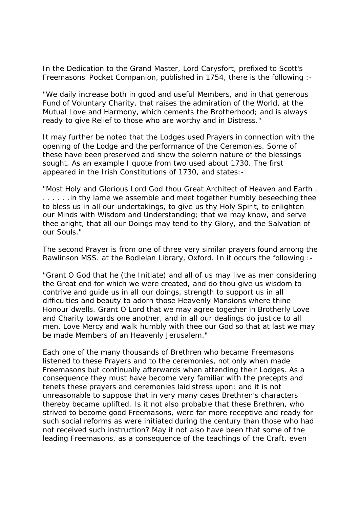In the Dedication to the Grand Master, Lord Carysfort, prefixed to Scott's Freemasons' Pocket Companion, published in 1754, there is the following :-

"We daily increase both in good and useful Members, and in that generous Fund of Voluntary Charity, that raises the admiration of the World, at the Mutual Love and Harmony, which cements the Brotherhood; and is always ready to give Relief to those who are worthy and in Distress."

It may further be noted that the Lodges used Prayers in connection with the opening of the Lodge and the performance of the Ceremonies. Some of these have been preserved and show the solemn nature of the blessings sought. As an example I quote from two used about 1730. The first appeared in the Irish Constitutions of 1730, and states:-

"Most Holy and Glorious Lord God thou Great Architect of Heaven and Earth . ...... in thy lame we assemble and meet together humbly beseeching thee to bless us in all our undertakings, to give us thy Holy Spirit, to enlighten our Minds with Wisdom and Understanding; that we may know, and serve thee aright, that all our Doings may tend to thy Glory, and the Salvation of our Souls."

The second Prayer is from one of three very similar prayers found among the Rawlinson MSS. at the Bodleian Library, Oxford. In it occurs the following :-

"Grant O God that he (the Initiate) and all of us may live as men considering the Great end for which we were created, and do thou give us wisdom to contrive and guide us in all our doings, strength to support us in all difficulties and beauty to adorn those Heavenly Mansions where thine Honour dwells. Grant O Lord that we may agree together in Brotherly Love and Charity towards one another, and in all our dealings do justice to all men, Love Mercy and walk humbly with thee our God so that at last we may be made Members of an Heavenly Jerusalem."

Each one of the many thousands of Brethren who became Freemasons listened to these Prayers and to the ceremonies, not only when made Freemasons but continually afterwards when attending their Lodges. As a consequence they must have become very familiar with the precepts and tenets these prayers and ceremonies laid stress upon; and it is not unreasonable to suppose that in very many cases Brethren's characters thereby became uplifted. Is it not also probable that these Brethren, who strived to become good Freemasons, were far more receptive and ready for such social reforms as were initiated during the century than those who had not received such instruction? May it not also have been that some of the leading Freemasons, as a consequence of the teachings of the Craft, even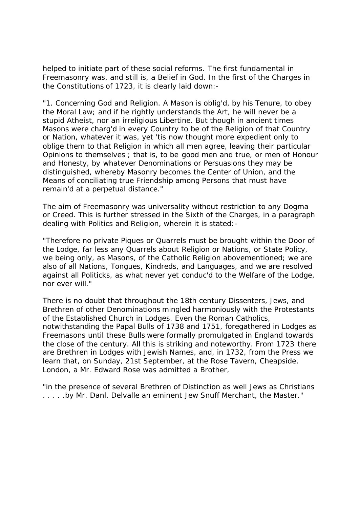helped to initiate part of these social reforms. The first fundamental in Freemasonry was, and still is, a Belief in God. In the first of the Charges in the Constitutions of 1723, it is clearly laid down:-

"1. Concerning God and Religion. A Mason is oblig'd, by his Tenure, to obey the Moral Law; and if he rightly understands the Art, he will never be a stupid Atheist, nor an irreligious Libertine. But though in ancient times Masons were charg'd in every Country to be of the Religion of that Country or Nation, whatever it was, yet 'tis now thought more expedient only to oblige them to that Religion in which all men agree, leaving their particular Opinions to themselves ; that is, to be good men and true, or men of Honour and Honesty, by whatever Denominations or Persuasions they may be distinguished, whereby Masonry becomes the Center of Union, and the Means of conciliating true Friendship among Persons that must have remain'd at a perpetual distance."

The aim of Freemasonry was universality without restriction to any Dogma or Creed. This is further stressed in the Sixth of the Charges, in a paragraph dealing with Politics and Religion, wherein it is stated:-

"Therefore no private Piques or Quarrels must be brought within the Door of the Lodge, far less any Quarrels about Religion or Nations, or State Policy, we being only, as Masons, of the Catholic Religion abovementioned; we are also of all Nations, Tongues, Kindreds, and Languages, and we are resolved against all Politicks, as what never yet conduc'd to the Welfare of the Lodge, nor ever will."

There is no doubt that throughout the 18th century Dissenters, Jews, and Brethren of other Denominations mingled harmoniously with the Protestants of the Established Church in Lodges. Even the Roman Catholics, notwithstanding the Papal Bulls of 1738 and 1751, foregathered in Lodges as Freemasons until these Bulls were formally promulgated in England towards the close of the century. All this is striking and noteworthy. From 1723 there are Brethren in Lodges with Jewish Names, and, in 1732, from the Press we learn that, on Sunday, 21st September, at the Rose Tavern, Cheapside, London, a Mr. Edward Rose was admitted a Brother,

"in the presence of several Brethren of Distinction as well Jews as Christians . . . . .by Mr. Danl. Delvalle an eminent Jew Snuff Merchant, the Master."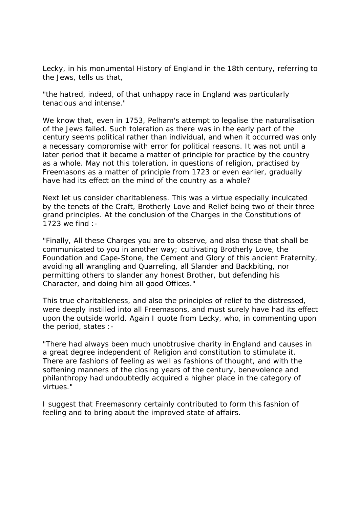Lecky, in his monumental History of England in the 18th century, referring to the Jews, tells us that,

"the hatred, indeed, of that unhappy race in England was particularly tenacious and intense."

We know that, even in 1753, Pelham's attempt to legalise the naturalisation of the Jews failed. Such toleration as there was in the early part of the century seems political rather than individual, and when it occurred was only a necessary compromise with error for political reasons. It was not until a later period that it became a matter of principle for practice by the country as a whole. May not this toleration, in questions of religion, practised by Freemasons as a matter of principle from 1723 or even earlier, gradually have had its effect on the mind of the country as a whole?

Next let us consider charitableness. This was a virtue especially inculcated by the tenets of the Craft, Brotherly Love and Relief being two of their three grand principles. At the conclusion of the Charges in the Constitutions of 1723 we find :-

"Finally, All these Charges you are to observe, and also those that shall be communicated to you in another way; cultivating Brotherly Love, the Foundation and Cape-Stone, the Cement and Glory of this ancient Fraternity, avoiding all wrangling and Quarreling, all Slander and Backbiting, nor permitting others to slander any honest Brother, but defending his Character, and doing him all good Offices."

This true charitableness, and also the principles of relief to the distressed, were deeply instilled into all Freemasons, and must surely have had its effect upon the outside world. Again I quote from Lecky, who, in commenting upon the period, states :-

"There had always been much unobtrusive charity in England and causes in a great degree independent of Religion and constitution to stimulate it. There are fashions of feeling as well as fashions of thought, and with the softening manners of the closing years of the century, benevolence and philanthropy had undoubtedly acquired a higher place in the category of virtues."

I suggest that Freemasonry certainly contributed to form this fashion of feeling and to bring about the improved state of affairs.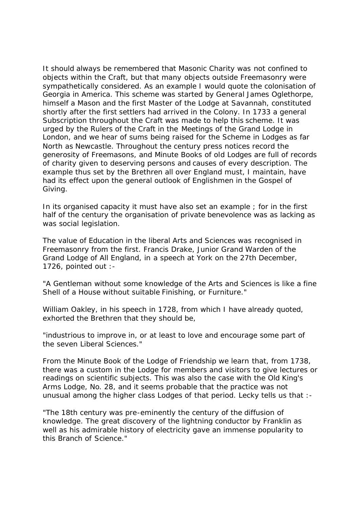It should always be remembered that Masonic Charity was not confined to objects within the Craft, but that many objects outside Freemasonry were sympathetically considered. As an example I would quote the colonisation of Georgia in America. This scheme was started by General James Oglethorpe, himself a Mason and the first Master of the Lodge at Savannah, constituted shortly after the first settlers had arrived in the Colony. In 1733 a general Subscription throughout the Craft was made to help this scheme. It was urged by the Rulers of the Craft in the Meetings of the Grand Lodge in London, and we hear of sums being raised for the Scheme in Lodges as far North as Newcastle. Throughout the century press notices record the generosity of Freemasons, and Minute Books of old Lodges are full of records of charity given to deserving persons and causes of every description. The example thus set by the Brethren all over England must, I maintain, have had its effect upon the general outlook of Englishmen in the Gospel of Giving.

In its organised capacity it must have also set an example ; for in the first half of the century the organisation of private benevolence was as lacking as was social legislation.

The value of Education in the liberal Arts and Sciences was recognised in Freemasonry from the first. Francis Drake, Junior Grand Warden of the Grand Lodge of All England, in a speech at York on the 27th December, 1726, pointed out :-

"A Gentleman without some knowledge of the Arts and Sciences is like a fine Shell of a House without suitable Finishing, or Furniture."

William Oakley, in his speech in 1728, from which I have already quoted, exhorted the Brethren that they should be,

"industrious to improve in, or at least to love and encourage some part of the seven Liberal Sciences."

From the Minute Book of the Lodge of Friendship we learn that, from 1738, there was a custom in the Lodge for members and visitors to give lectures or readings on scientific subjects. This was also the case with the Old King's Arms Lodge, No. 28, and it seems probable that the practice was not unusual among the higher class Lodges of that period. Lecky tells us that :-

"The 18th century was pre-eminently the century of the diffusion of knowledge. The great discovery of the lightning conductor by Franklin as well as his admirable history of electricity gave an immense popularity to this Branch of Science."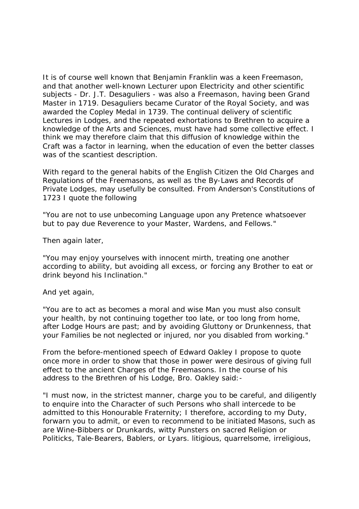It is of course well known that Benjamin Franklin was a keen Freemason, and that another well-known Lecturer upon Electricity and other scientific subjects - Dr. J.T. Desaguliers - was also a Freemason, having been Grand Master in 1719. Desaguliers became Curator of the Royal Society, and was awarded the Copley Medal in 1739. The continual delivery of scientific Lectures in Lodges, and the repeated exhortations to Brethren to acquire a knowledge of the Arts and Sciences, must have had some collective effect. I think we may therefore claim that this diffusion of knowledge within the Craft was a factor in learning, when the education of even the better classes was of the scantiest description.

With regard to the general habits of the English Citizen the Old Charges and Regulations of the Freemasons, as well as the By-Laws and Records of Private Lodges, may usefully be consulted. From Anderson's Constitutions of 1723 I quote the following

"You are not to use unbecoming Language upon any Pretence whatsoever but to pay due Reverence to your Master, Wardens, and Fellows."

Then again later,

"You may enjoy yourselves with innocent mirth, treating one another according to ability, but avoiding all excess, or forcing any Brother to eat or drink beyond his Inclination."

## And yet again,

"You are to act as becomes a moral and wise Man you must also consult your health, by not continuing together too late, or too long from home, after Lodge Hours are past; and by avoiding Gluttony or Drunkenness, that your Families be not neglected or injured, nor you disabled from working."

From the before-mentioned speech of Edward Oakley I propose to quote once more in order to show that those in power were desirous of giving full effect to the ancient Charges of the Freemasons. In the course of his address to the Brethren of his Lodge, Bro. Oakley said:-

"I must now, in the strictest manner, charge you to be careful, and diligently to enquire into the Character of such Persons who shall intercede to be admitted to this Honourable Fraternity; I therefore, according to my Duty, forwarn you to admit, or even to recommend to be initiated Masons, such as are Wine-Bibbers or Drunkards, witty Punsters on sacred Religion or Politicks, Tale-Bearers, Bablers, or Lyars. litigious, quarrelsome, irreligious,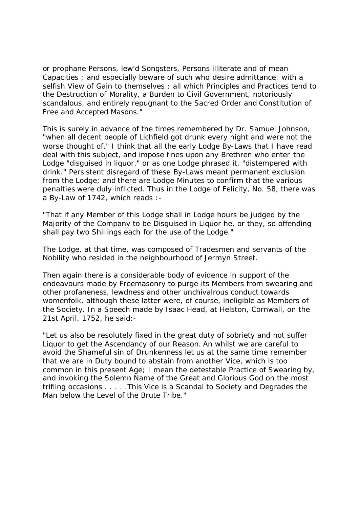or prophane Persons, lew'd Songsters, Persons illiterate and of mean Capacities ; and especially beware of such who desire admittance: with a selfish View of Gain to themselves ; all which Principles and Practices tend to the Destruction of Morality, a Burden to Civil Government, notoriously scandalous, and entirely repugnant to the Sacred Order and Constitution of Free and Accepted Masons."

This is surely in advance of the times remembered by Dr. Samuel Johnson, "when all decent people of Lichfield got drunk every night and were not the worse thought of." I think that all the early Lodge By-Laws that I have read deal with this subject, and impose fines upon any Brethren who enter the Lodge "disguised in liquor," or as one Lodge phrased it, "distempered with drink." Persistent disregard of these By-Laws meant permanent exclusion from the Lodge; and there are Lodge Minutes to confirm that the various penalties were duly inflicted. Thus in the Lodge of Felicity, No. 58, there was a By-Law of 1742, which reads :-

"That if any Member of this Lodge shall in Lodge hours be judged by the Majority of the Company to be Disguised in Liquor he, or they, so offending shall pay two Shillings each for the use of the Lodge."

The Lodge, at that time, was composed of Tradesmen and servants of the Nobility who resided in the neighbourhood of Jermyn Street.

Then again there is a considerable body of evidence in support of the endeavours made by Freemasonry to purge its Members from swearing and other profaneness, lewdness and other unchivalrous conduct towards womenfolk, although these latter were, of course, ineligible as Members of the Society. In a Speech made by Isaac Head, at Helston, Cornwall, on the 21st April, 1752, he said:-

"Let us also be resolutely fixed in the great duty of sobriety and not suffer Liquor to get the Ascendancy of our Reason. An whilst we are careful to avoid the Shameful sin of Drunkenness let us at the same time remember that we are in Duty bound to abstain from another Vice, which is too common in this present Age; I mean the detestable Practice of Swearing by, and invoking the Solemn Name of the Great and Glorious God on the most trifling occasions . . . . .This Vice is a Scandal to Society and Degrades the Man below the Level of the Brute Tribe."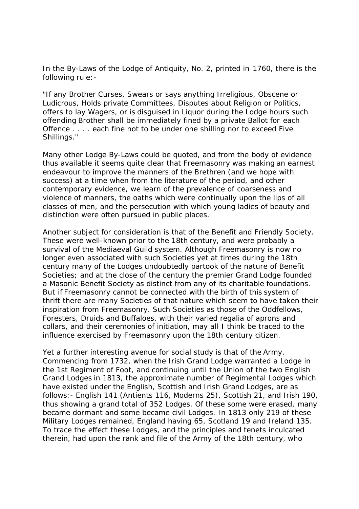In the By-Laws of the Lodge of Antiquity, No. 2, printed in 1760, there is the following rule:-

"If any Brother Curses, Swears or says anything Irreligious, Obscene or Ludicrous, Holds private Committees, Disputes about Religion or Politics, offers to lay Wagers, or is disguised in Liquor during the Lodge hours such offending Brother shall be immediately fined by a private Ballot for each Offence . . . . each fine not to be under one shilling nor to exceed Five Shillings."

Many other Lodge By-Laws could be quoted, and from the body of evidence thus available it seems quite clear that Freemasonry was making an earnest endeavour to improve the manners of the Brethren (and we hope with success) at a time when from the literature of the period, and other contemporary evidence, we learn of the prevalence of coarseness and violence of manners, the oaths which were continually upon the lips of all classes of men, and the persecution with which young ladies of beauty and distinction were often pursued in public places.

Another subject for consideration is that of the Benefit and Friendly Society. These were well-known prior to the 18th century, and were probably a survival of the Mediaeval Guild system. Although Freemasonry is now no longer even associated with such Societies yet at times during the 18th century many of the Lodges undoubtedly partook of the nature of Benefit Societies; and at the close of the century the premier Grand Lodge founded a Masonic Benefit Society as distinct from any of its charitable foundations. But if Freemasonry cannot be connected with the birth of this system of thrift there are many Societies of that nature which seem to have taken their inspiration from Freemasonry. Such Societies as those of the Oddfellows, Foresters, Druids and Buffaloes, with their varied regalia of aprons and collars, and their ceremonies of initiation, may all I think be traced to the influence exercised by Freemasonry upon the 18th century citizen.

Yet a further interesting avenue for social study is that of the Army. Commencing from 1732, when the Irish Grand Lodge warranted a Lodge in the 1st Regiment of Foot, and continuing until the Union of the two English Grand Lodges in 1813, the approximate number of Regimental Lodges which have existed under the English, Scottish and Irish Grand Lodges, are as follows:- English 141 (Antients 116, Moderns 25), Scottish 21, and Irish 190, thus showing a grand total of 352 Lodges. Of these some were erased, many became dormant and some became civil Lodges. In 1813 only 219 of these Military Lodges remained, England having 65, Scotland 19 and Ireland 135. To trace the effect these Lodges, and the principles and tenets inculcated therein, had upon the rank and file of the Army of the 18th century, who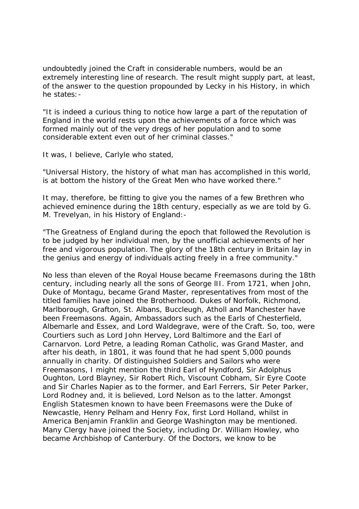undoubtedly joined the Craft in considerable numbers, would be an extremely interesting line of research. The result might supply part, at least, of the answer to the question propounded by Lecky in his History, in which he states:-

"It is indeed a curious thing to notice how large a part of the reputation of England in the world rests upon the achievements of a force which was formed mainly out of the very dregs of her population and to some considerable extent even out of her criminal classes."

It was, I believe, Carlyle who stated,

"Universal History, the history of what man has accomplished in this world, is at bottom the history of the Great Men who have worked there."

It may, therefore, be fitting to give you the names of a few Brethren who achieved eminence during the 18th century, especially as we are told by G. M. Trevelyan, in his History of England:-

"The Greatness of England during the epoch that followed the Revolution is to be judged by her individual men, by the unofficial achievements of her free and vigorous population. The glory of the 18th century in Britain lay in the genius and energy of individuals acting freely in a free community."

No less than eleven of the Royal House became Freemasons during the 18th century, including nearly all the sons of George lII. From 1721, when John, Duke of Montagu, became Grand Master, representatives from most of the titled families have joined the Brotherhood. Dukes of Norfolk, Richmond, Marlborough, Grafton, St. Albans, Buccleugh, Atholl and Manchester have been Freemasons. Again, Ambassadors such as the Earls of Chesterfield, Albemarle and Essex, and Lord Waldegrave, were of the Craft. So, too, were Courtiers such as Lord John Hervey, Lord Baltimore and the Earl of Carnarvon. Lord Petre, a leading Roman Catholic, was Grand Master, and after his death, in 1801, it was found that he had spent 5,000 pounds annually in charity. Of distinguished Soldiers and Sailors who were Freemasons, I might mention the third Earl of Hyndford, Sir Adolphus Oughton, Lord Blayney, Sir Robert Rich, Viscount Cobham, Sir Eyre Coote and Sir Charles Napier as to the former, and Earl Ferrers, Sir Peter Parker, Lord Rodney and, it is believed, Lord Nelson as to the latter. Amongst English Statesmen known to have been Freemasons were the Duke of Newcastle, Henry Pelham and Henry Fox, first Lord Holland, whilst in America Benjamin Franklin and George Washington may be mentioned. Many Clergy have joined the Society, including Dr. William Howley, who became Archbishop of Canterbury. Of the Doctors, we know to be